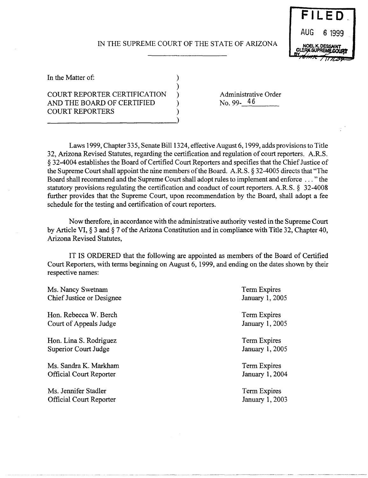## IN THE SUPREME COURT OF THE STATE OF ARIZONA

)



In the Matter of:  $\qquad \qquad$  )

## COURT REPORTER CERTIFICATION AND THE BOARD OF CERTIFIED ) COURT REPORTERS )

--------------------------)

Administrative Order<br>No. 99-<del>16</del>

Laws 1999, Chapter 335, Senate Bill 1324, effective August 6, 1999, adds provisions to Title 32, Arizona Revised Statutes, regarding the certification and regulation of court reporters. A.R.S. § 32-4004 establishes the Board of Certified Court Reporters and specifies that the Chief Justice of the Supreme Court shall appoint the nine members of the Board. A.R.S. § 32-4005 directs that "The Board shall recommend and the Supreme Court shall adopt rules to implement and enforce ... "the statutory provisions regulating the certification and conduct of court reporters. A.R.S. § 32-4008 further provides that the Supreme Court, upon recommendation by the Board, shall adopt a fee schedule for the testing and certification of court reporters.

Now therefore, in accordance with the administrative authority vested in the Supreme Court by Article VI, § 3 and § 7 of the Arizona Constitution and in compliance with Title 32, Chapter 40, Arizona Revised Statutes,

IT IS ORDERED that the following are appointed as members of the Board of Certified Court Reporters, with terms beginning on August 6, 1999, and ending on the dates shown by their respective names:

| Ms. Nancy Swetnam                | Term Expires    |
|----------------------------------|-----------------|
| <b>Chief Justice or Designee</b> | January 1, 2005 |
| Hon. Rebecca W. Berch            | Term Expires    |
| Court of Appeals Judge           | January 1, 2005 |
| Hon. Lina S. Rodriguez           | Term Expires    |
| Superior Court Judge             | January 1, 2005 |
| Ms. Sandra K. Markham            | Term Expires    |
| Official Court Reporter          | January 1, 2004 |
| Ms. Jennifer Stadler             | Term Expires    |
| <b>Official Court Reporter</b>   | January 1, 2003 |